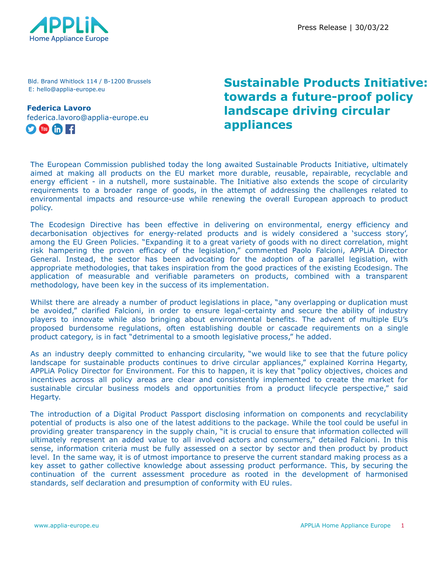

Bld. Brand Whitlock 114 / B-1200 Brussels E: hello@applia-europe.eu

**Federica Lavoro** federica.lavoro@applia-europe.eu  $\bullet$  (in Fig.

## **Sustainable Products Initiative: towards a future-proof policy landscape driving circular appliances**

The European Commission published today the long awaited Sustainable Products Initiative, ultimately aimed at making all products on the EU market more durable, reusable, repairable, recyclable and energy efficient - in a nutshell, more sustainable. The Initiative also extends the scope of circularity requirements to a broader range of goods, in the attempt of addressing the challenges related to environmental impacts and resource-use while renewing the overall European approach to product policy.

The Ecodesign Directive has been effective in delivering on environmental, energy efficiency and decarbonisation objectives for energy-related products and is widely considered a 'success story', among the EU Green Policies. "Expanding it to a great variety of goods with no direct correlation, might risk hampering the proven efficacy of the legislation," commented Paolo Falcioni, APPLiA Director General. Instead, the sector has been advocating for the adoption of a parallel legislation, with appropriate methodologies, that takes inspiration from the good practices of the existing Ecodesign. The application of measurable and verifiable parameters on products, combined with a transparent methodology, have been key in the success of its implementation.

Whilst there are already a number of product legislations in place, "any overlapping or duplication must be avoided," clarified Falcioni, in order to ensure legal-certainty and secure the ability of industry players to innovate while also bringing about environmental benefits. The advent of multiple EU's proposed burdensome regulations, often establishing double or cascade requirements on a single product category, is in fact "detrimental to a smooth legislative process," he added.

As an industry deeply committed to enhancing circularity, "we would like to see that the future policy landscape for sustainable products continues to drive circular appliances," explained Korrina Hegarty, APPLiA Policy Director for Environment. For this to happen, it is key that "policy objectives, choices and incentives across all policy areas are clear and consistently implemented to create the market for sustainable circular business models and opportunities from a product lifecycle perspective," said Hegarty.

The introduction of a Digital Product Passport disclosing information on components and recyclability potential of products is also one of the latest additions to the package. While the tool could be useful in providing greater transparency in the supply chain, "it is crucial to ensure that information collected will ultimately represent an added value to all involved actors and consumers," detailed Falcioni. In this sense, information criteria must be fully assessed on a sector by sector and then product by product level. In the same way, it is of utmost importance to preserve the current standard making process as a key asset to gather collective knowledge about assessing product performance. This, by securing the continuation of the current assessment procedure as rooted in the development of harmonised standards, self declaration and presumption of conformity with EU rules.